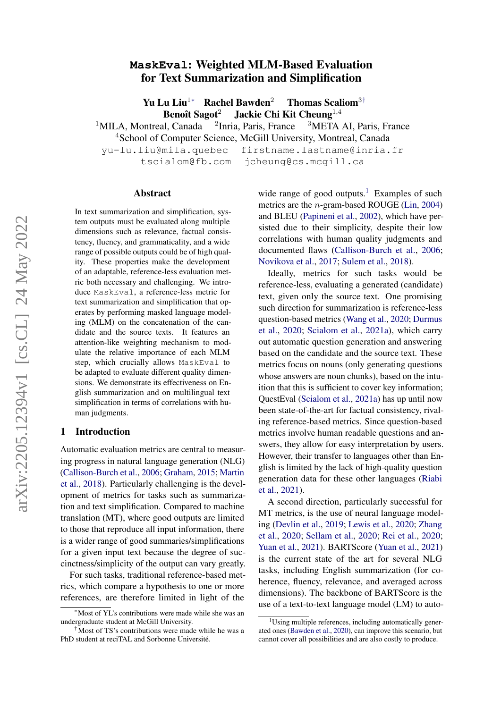# arXiv:2205.12394v1 [cs.CL] 24 May 2022 arXiv:2205.12394v1 [cs.CL] 24 May 2022

# **MaskEval**: Weighted MLM-Based Evaluation for Text Summarization and Simplification

Yu Lu Liu<sup>1∗</sup> Rachel Bawden<sup>2</sup> Thomas Scaliom<sup>3†</sup> Benoît Sagot<sup>2</sup> Jackie Chi Kit Cheung<sup>1,4</sup>

 $1$ MILA, Montreal, Canada  $2$ Inria, Paris, France  $3$ META AI, Paris, France

<sup>4</sup>School of Computer Science, McGill University, Montreal, Canada

yu-lu.liu@mila.quebec firstname.lastname@inria.fr tscialom@fb.com jcheung@cs.mcgill.ca

#### Abstract

In text summarization and simplification, system outputs must be evaluated along multiple dimensions such as relevance, factual consistency, fluency, and grammaticality, and a wide range of possible outputs could be of high quality. These properties make the development of an adaptable, reference-less evaluation metric both necessary and challenging. We introduce MaskEval, a reference-less metric for text summarization and simplification that operates by performing masked language modeling (MLM) on the concatenation of the candidate and the source texts. It features an attention-like weighting mechanism to modulate the relative importance of each MLM step, which crucially allows MaskEval to be adapted to evaluate different quality dimensions. We demonstrate its effectiveness on English summarization and on multilingual text simplification in terms of correlations with human judgments.

#### 1 Introduction

Automatic evaluation metrics are central to measuring progress in natural language generation (NLG) [\(Callison-Burch et al.,](#page-10-0) [2006;](#page-10-0) [Graham,](#page-10-1) [2015;](#page-10-1) [Martin](#page-11-0) [et al.,](#page-11-0) [2018\)](#page-11-0). Particularly challenging is the development of metrics for tasks such as summarization and text simplification. Compared to machine translation (MT), where good outputs are limited to those that reproduce all input information, there is a wider range of good summaries/simplifications for a given input text because the degree of succinctness/simplicity of the output can vary greatly.

For such tasks, traditional reference-based metrics, which compare a hypothesis to one or more references, are therefore limited in light of the wide range of good outputs.<sup>[1](#page-0-0)</sup> Examples of such metrics are the n-gram-based ROUGE [\(Lin,](#page-11-1) [2004\)](#page-11-1) and BLEU [\(Papineni et al.,](#page-11-2) [2002\)](#page-11-2), which have persisted due to their simplicity, despite their low correlations with human quality judgments and documented flaws [\(Callison-Burch et al.,](#page-10-0) [2006;](#page-10-0) [Novikova et al.,](#page-11-3) [2017;](#page-11-3) [Sulem et al.,](#page-11-4) [2018\)](#page-11-4).

Ideally, metrics for such tasks would be reference-less, evaluating a generated (candidate) text, given only the source text. One promising such direction for summarization is reference-less question-based metrics [\(Wang et al.,](#page-12-0) [2020;](#page-12-0) [Durmus](#page-10-2) [et al.,](#page-10-2) [2020;](#page-10-2) [Scialom et al.,](#page-11-5) [2021a\)](#page-11-5), which carry out automatic question generation and answering based on the candidate and the source text. These metrics focus on nouns (only generating questions whose answers are noun chunks), based on the intuition that this is sufficient to cover key information; QuestEval [\(Scialom et al.,](#page-11-5) [2021a\)](#page-11-5) has up until now been state-of-the-art for factual consistency, rivaling reference-based metrics. Since question-based metrics involve human readable questions and answers, they allow for easy interpretation by users. However, their transfer to languages other than English is limited by the lack of high-quality question generation data for these other languages [\(Riabi](#page-11-6) [et al.,](#page-11-6) [2021\)](#page-11-6).

A second direction, particularly successful for MT metrics, is the use of neural language modeling [\(Devlin et al.,](#page-10-3) [2019;](#page-10-3) [Lewis et al.,](#page-10-4) [2020;](#page-10-4) [Zhang](#page-12-1) [et al.,](#page-12-1) [2020;](#page-12-1) [Sellam et al.,](#page-11-7) [2020;](#page-11-7) [Rei et al.,](#page-11-8) [2020;](#page-11-8) [Yuan et al.,](#page-12-2) [2021\)](#page-12-2). BARTScore [\(Yuan et al.,](#page-12-2) [2021\)](#page-12-2) is the current state of the art for several NLG tasks, including English summarization (for coherence, fluency, relevance, and averaged across dimensions). The backbone of BARTScore is the use of a text-to-text language model (LM) to auto-

<sup>∗</sup>Most of YL's contributions were made while she was an undergraduate student at McGill University.

<sup>&</sup>lt;sup>†</sup>Most of TS's contributions were made while he was a PhD student at reciTAL and Sorbonne Université.

<span id="page-0-0"></span> $1$ Using multiple references, including automatically generated ones [\(Bawden et al.,](#page-9-0) [2020\)](#page-9-0), can improve this scenario, but cannot cover all possibilities and are also costly to produce.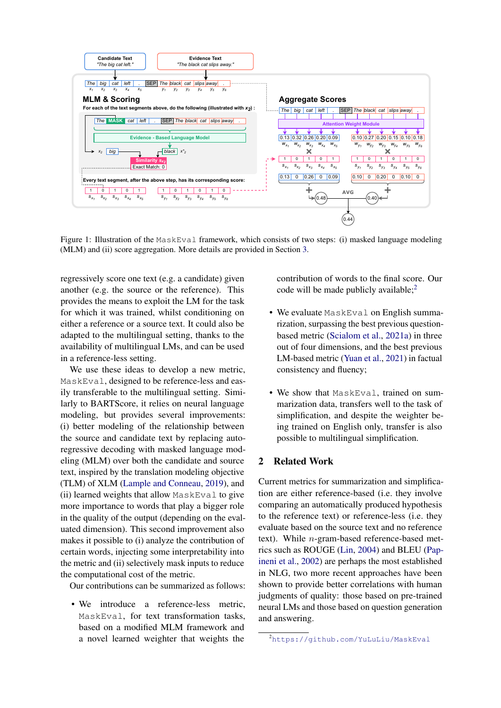<span id="page-1-1"></span>

Figure 1: Illustration of the MaskEval framework, which consists of two steps: (i) masked language modeling (MLM) and (ii) score aggregation. More details are provided in Section [3.](#page-3-0)

regressively score one text (e.g. a candidate) given another (e.g. the source or the reference). This provides the means to exploit the LM for the task for which it was trained, whilst conditioning on either a reference or a source text. It could also be adapted to the multilingual setting, thanks to the availability of multilingual LMs, and can be used in a reference-less setting.

We use these ideas to develop a new metric, MaskEval, designed to be reference-less and easily transferable to the multilingual setting. Similarly to BARTScore, it relies on neural language modeling, but provides several improvements: (i) better modeling of the relationship between the source and candidate text by replacing autoregressive decoding with masked language modeling (MLM) over both the candidate and source text, inspired by the translation modeling objective (TLM) of XLM [\(Lample and Conneau,](#page-10-5) [2019\)](#page-10-5), and (ii) learned weights that allow MaskEval to give more importance to words that play a bigger role in the quality of the output (depending on the evaluated dimension). This second improvement also makes it possible to (i) analyze the contribution of certain words, injecting some interpretability into the metric and (ii) selectively mask inputs to reduce the computational cost of the metric.

Our contributions can be summarized as follows:

• We introduce a reference-less metric, MaskEval, for text transformation tasks, based on a modified MLM framework and a novel learned weighter that weights the

contribution of words to the final score. Our code will be made publicly available; $<sup>2</sup>$  $<sup>2</sup>$  $<sup>2</sup>$ </sup>

- We evaluate MaskEval on English summarization, surpassing the best previous questionbased metric [\(Scialom et al.,](#page-11-5) [2021a\)](#page-11-5) in three out of four dimensions, and the best previous LM-based metric [\(Yuan et al.,](#page-12-2) [2021\)](#page-12-2) in factual consistency and fluency;
- We show that MaskEval, trained on summarization data, transfers well to the task of simplification, and despite the weighter being trained on English only, transfer is also possible to multilingual simplification.

#### 2 Related Work

Current metrics for summarization and simplification are either reference-based (i.e. they involve comparing an automatically produced hypothesis to the reference text) or reference-less (i.e. they evaluate based on the source text and no reference text). While n-gram-based reference-based metrics such as ROUGE [\(Lin,](#page-11-1) [2004\)](#page-11-1) and BLEU [\(Pap](#page-11-2)[ineni et al.,](#page-11-2) [2002\)](#page-11-2) are perhaps the most established in NLG, two more recent approaches have been shown to provide better correlations with human judgments of quality: those based on pre-trained neural LMs and those based on question generation and answering.

<span id="page-1-0"></span><sup>2</sup><https://github.com/YuLuLiu/MaskEval>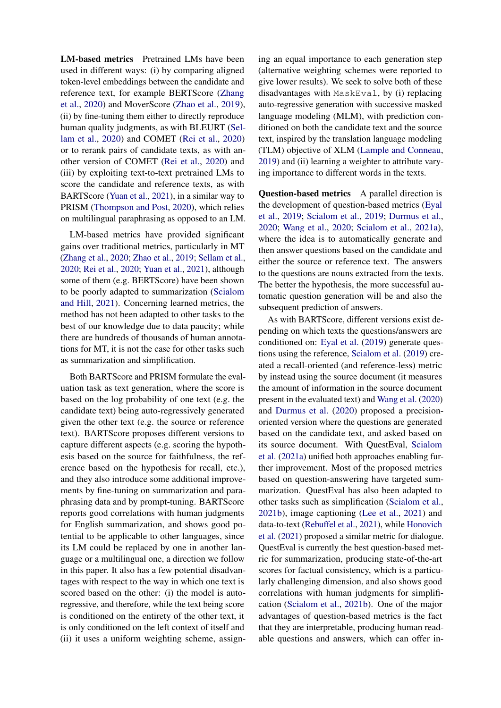LM-based metrics Pretrained LMs have been used in different ways: (i) by comparing aligned token-level embeddings between the candidate and reference text, for example BERTScore [\(Zhang](#page-12-1) [et al.,](#page-12-1) [2020\)](#page-12-1) and MoverScore [\(Zhao et al.,](#page-12-3) [2019\)](#page-12-3), (ii) by fine-tuning them either to directly reproduce human quality judgments, as with BLEURT [\(Sel](#page-11-7)[lam et al.,](#page-11-7) [2020\)](#page-11-7) and COMET [\(Rei et al.,](#page-11-8) [2020\)](#page-11-8) or to rerank pairs of candidate texts, as with another version of COMET [\(Rei et al.,](#page-11-8) [2020\)](#page-11-8) and (iii) by exploiting text-to-text pretrained LMs to score the candidate and reference texts, as with BARTScore [\(Yuan et al.,](#page-12-2) [2021\)](#page-12-2), in a similar way to PRISM [\(Thompson and Post,](#page-11-9) [2020\)](#page-11-9), which relies on multilingual paraphrasing as opposed to an LM.

LM-based metrics have provided significant gains over traditional metrics, particularly in MT [\(Zhang et al.,](#page-12-1) [2020;](#page-12-1) [Zhao et al.,](#page-12-3) [2019;](#page-12-3) [Sellam et al.,](#page-11-7) [2020;](#page-11-7) [Rei et al.,](#page-11-8) [2020;](#page-11-8) [Yuan et al.,](#page-12-2) [2021\)](#page-12-2), although some of them (e.g. BERTScore) have been shown to be poorly adapted to summarization [\(Scialom](#page-11-10) [and Hill,](#page-11-10) [2021\)](#page-11-10). Concerning learned metrics, the method has not been adapted to other tasks to the best of our knowledge due to data paucity; while there are hundreds of thousands of human annotations for MT, it is not the case for other tasks such as summarization and simplification.

Both BARTScore and PRISM formulate the evaluation task as text generation, where the score is based on the log probability of one text (e.g. the candidate text) being auto-regressively generated given the other text (e.g. the source or reference text). BARTScore proposes different versions to capture different aspects (e.g. scoring the hypothesis based on the source for faithfulness, the reference based on the hypothesis for recall, etc.), and they also introduce some additional improvements by fine-tuning on summarization and paraphrasing data and by prompt-tuning. BARTScore reports good correlations with human judgments for English summarization, and shows good potential to be applicable to other languages, since its LM could be replaced by one in another language or a multilingual one, a direction we follow in this paper. It also has a few potential disadvantages with respect to the way in which one text is scored based on the other: (i) the model is autoregressive, and therefore, while the text being score is conditioned on the entirety of the other text, it is only conditioned on the left context of itself and (ii) it uses a uniform weighting scheme, assign-

ing an equal importance to each generation step (alternative weighting schemes were reported to give lower results). We seek to solve both of these disadvantages with MaskEval, by (i) replacing auto-regressive generation with successive masked language modeling (MLM), with prediction conditioned on both the candidate text and the source text, inspired by the translation language modeling (TLM) objective of XLM [\(Lample and Conneau,](#page-10-5) [2019\)](#page-10-5) and (ii) learning a weighter to attribute varying importance to different words in the texts.

Question-based metrics A parallel direction is the development of question-based metrics [\(Eyal](#page-10-6) [et al.,](#page-10-6) [2019;](#page-10-6) [Scialom et al.,](#page-11-11) [2019;](#page-11-11) [Durmus et al.,](#page-10-2) [2020;](#page-10-2) [Wang et al.,](#page-12-0) [2020;](#page-12-0) [Scialom et al.,](#page-11-5) [2021a\)](#page-11-5), where the idea is to automatically generate and then answer questions based on the candidate and either the source or reference text. The answers to the questions are nouns extracted from the texts. The better the hypothesis, the more successful automatic question generation will be and also the subsequent prediction of answers.

As with BARTScore, different versions exist depending on which texts the questions/answers are conditioned on: [Eyal et al.](#page-10-6) [\(2019\)](#page-10-6) generate questions using the reference, [Scialom et al.](#page-11-11) [\(2019\)](#page-11-11) created a recall-oriented (and reference-less) metric by instead using the source document (it measures the amount of information in the source document present in the evaluated text) and [Wang et al.](#page-12-0) [\(2020\)](#page-12-0) and [Durmus et al.](#page-10-2) [\(2020\)](#page-10-2) proposed a precisionoriented version where the questions are generated based on the candidate text, and asked based on its source document. With QuestEval, [Scialom](#page-11-5) [et al.](#page-11-5) [\(2021a\)](#page-11-5) unified both approaches enabling further improvement. Most of the proposed metrics based on question-answering have targeted summarization. QuestEval has also been adapted to other tasks such as simplification [\(Scialom et al.,](#page-11-12) [2021b\)](#page-11-12), image captioning [\(Lee et al.,](#page-10-7) [2021\)](#page-10-7) and data-to-text [\(Rebuffel et al.,](#page-11-13) [2021\)](#page-11-13), while [Honovich](#page-10-8) [et al.](#page-10-8) [\(2021\)](#page-10-8) proposed a similar metric for dialogue. QuestEval is currently the best question-based metric for summarization, producing state-of-the-art scores for factual consistency, which is a particularly challenging dimension, and also shows good correlations with human judgments for simplification [\(Scialom et al.,](#page-11-12) [2021b\)](#page-11-12). One of the major advantages of question-based metrics is the fact that they are interpretable, producing human readable questions and answers, which can offer in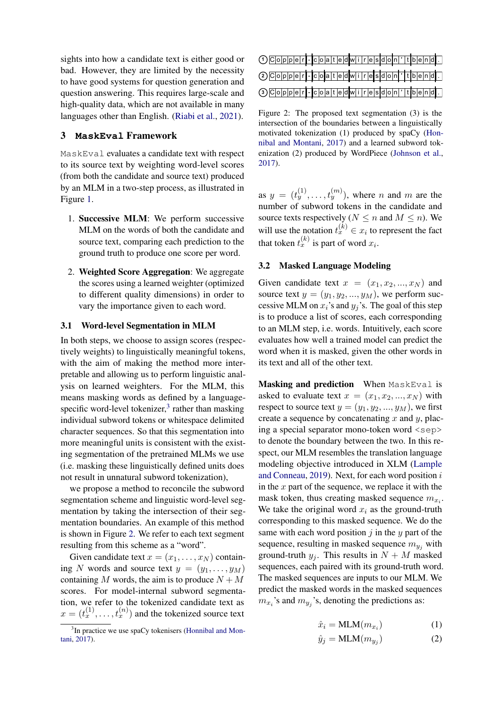sights into how a candidate text is either good or bad. However, they are limited by the necessity to have good systems for question generation and question answering. This requires large-scale and high-quality data, which are not available in many languages other than English. [\(Riabi et al.,](#page-11-6) [2021\)](#page-11-6).

# <span id="page-3-0"></span>3 **MaskEval** Framework

MaskEval evaluates a candidate text with respect to its source text by weighting word-level scores (from both the candidate and source text) produced by an MLM in a two-step process, as illustrated in Figure [1.](#page-1-1)

- 1. Successive MLM: We perform successive MLM on the words of both the candidate and source text, comparing each prediction to the ground truth to produce one score per word.
- 2. Weighted Score Aggregation: We aggregate the scores using a learned weighter (optimized to different quality dimensions) in order to vary the importance given to each word.

#### 3.1 Word-level Segmentation in MLM

In both steps, we choose to assign scores (respectively weights) to linguistically meaningful tokens, with the aim of making the method more interpretable and allowing us to perform linguistic analysis on learned weighters. For the MLM, this means masking words as defined by a languagespecific word-level tokenizer, $3$  rather than masking individual subword tokens or whitespace delimited character sequences. So that this segmentation into more meaningful units is consistent with the existing segmentation of the pretrained MLMs we use (i.e. masking these linguistically defined units does not result in unnatural subword tokenization),

we propose a method to reconcile the subword segmentation scheme and linguistic word-level segmentation by taking the intersection of their segmentation boundaries. An example of this method is shown in Figure [2.](#page-3-2) We refer to each text segment resulting from this scheme as a "word".

Given candidate text  $x = (x_1, \ldots, x_N)$  containing N words and source text  $y = (y_1, \ldots, y_M)$ containing M words, the aim is to produce  $N + M$ scores. For model-internal subword segmentation, we refer to the tokenized candidate text as  $x = (t_x^{(1)}, \dots, t_x^{(n)})$  and the tokenized source text

<span id="page-3-2"></span>

| $\bigcirc$ $C$   $o$   $p$   $p$   $e$   $r$   $ c$   $o$   $a$   $t$   $e$   $d$   $w$   $i$   $r$   $e$   $s$   $d$   $o$   $n$   $t$   $b$   $e$   $n$   $d$   $d$                                                                                                                                                                                                                                                                                                                                                             |  |  |  |  |  |  |  |  |  |  |  |
|-----------------------------------------------------------------------------------------------------------------------------------------------------------------------------------------------------------------------------------------------------------------------------------------------------------------------------------------------------------------------------------------------------------------------------------------------------------------------------------------------------------------------------------|--|--|--|--|--|--|--|--|--|--|--|
| $\textcircled{2} \textcircled{1} \textcircled{1} \textcircled{1} \textcircled{1} \textcircled{1} \textcircled{1} \textcircled{1} \textcircled{1} \textcircled{1} \textcircled{1} \textcircled{1} \textcircled{1} \textcircled{1} \textcircled{1} \textcircled{1} \textcircled{1} \textcircled{1} \textcircled{1} \textcircled{1} \textcircled{1} \textcircled{1} \textcircled{1} \textcircled{1} \textcircled{1} \textcircled{1} \textcircled{1} \textcircled{1} \textcircled{1} \textcircled{1} \textcircled{1} \textcirc$       |  |  |  |  |  |  |  |  |  |  |  |
| $\textcircled{\small{\texttt{C}}\small{\small{\texttt{O}}\small{\texttt{p}}\small{\texttt{p}}\small{\texttt{e}}\small{\texttt{r}}\small{\texttt{r}}\small{\texttt{c}}\small{\small{\texttt{o}}\small{\texttt{a}}\small{\texttt{t}}\small{\texttt{e}}\small{\texttt{d}}\small{\texttt{w}}\small{\texttt{i}}\small{\texttt{r}}\small{\texttt{e}}\small{\texttt{s}}\small{\texttt{d}}\small{\texttt{o}}\small{\texttt{m}}\small{\texttt{'t}}\small{\texttt{t}}\small{\texttt{b}}\small{\texttt{e}}\small{\texttt{m}}\small{\texttt{$ |  |  |  |  |  |  |  |  |  |  |  |

Figure 2: The proposed text segmentation (3) is the intersection of the boundaries between a linguistically motivated tokenization (1) produced by spaCy [\(Hon](#page-10-9)[nibal and Montani,](#page-10-9) [2017\)](#page-10-9) and a learned subword tokenization (2) produced by WordPiece [\(Johnson et al.,](#page-10-10) [2017\)](#page-10-10).

as  $y = (t_y^{(1)}, \ldots, t_y^{(m)})$ , where *n* and *m* are the number of subword tokens in the candidate and source texts respectively ( $N \le n$  and  $M \le n$ ). We will use the notation  $t_x^{(k)} \in x_i$  to represent the fact that token  $t_x^{(k)}$  is part of word  $x_i$ .

#### 3.2 Masked Language Modeling

Given candidate text  $x = (x_1, x_2, ..., x_N)$  and source text  $y = (y_1, y_2, ..., y_M)$ , we perform successive MLM on  $x_i$ 's and  $y_i$ 's. The goal of this step is to produce a list of scores, each corresponding to an MLM step, i.e. words. Intuitively, each score evaluates how well a trained model can predict the word when it is masked, given the other words in its text and all of the other text.

<span id="page-3-3"></span>Masking and prediction When MaskEval is asked to evaluate text  $x = (x_1, x_2, ..., x_N)$  with respect to source text  $y = (y_1, y_2, ..., y_M)$ , we first create a sequence by concatenating  $x$  and  $y$ , placing a special separator mono-token word <sep> to denote the boundary between the two. In this respect, our MLM resembles the translation language modeling objective introduced in XLM [\(Lample](#page-10-5) [and Conneau,](#page-10-5) [2019\)](#page-10-5). Next, for each word position i in the  $x$  part of the sequence, we replace it with the mask token, thus creating masked sequence  $m_{x_i}$ . We take the original word  $x_i$  as the ground-truth corresponding to this masked sequence. We do the same with each word position  $j$  in the  $y$  part of the sequence, resulting in masked sequence  $m_{\nu_i}$  with ground-truth  $y_i$ . This results in  $N + M$  masked sequences, each paired with its ground-truth word. The masked sequences are inputs to our MLM. We predict the masked words in the masked sequences  $m_{x_i}$ 's and  $m_{y_j}$ 's, denoting the predictions as:

$$
\hat{x}_i = \text{MLM}(m_{x_i})\tag{1}
$$

$$
\hat{y}_j = \text{MLM}(m_{y_j})\tag{2}
$$

<span id="page-3-1"></span><sup>&</sup>lt;sup>3</sup>In practice we use spaCy tokenisers [\(Honnibal and Mon](#page-10-9)[tani,](#page-10-9) [2017\)](#page-10-9).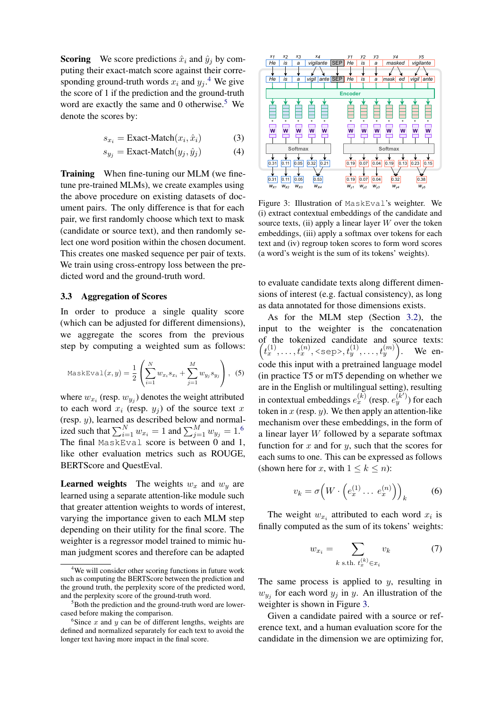**Scoring** We score predictions  $\hat{x}_i$  and  $\hat{y}_j$  by computing their exact-match score against their corresponding ground-truth words  $x_i$  and  $y_j$ .<sup>[4](#page-4-0)</sup> We give the score of 1 if the prediction and the ground-truth word are exactly the same and 0 otherwise.<sup>[5](#page-4-1)</sup> We denote the scores by:

$$
s_{x_i} = \text{Exact-Match}(x_i, \hat{x}_i) \tag{3}
$$

$$
s_{y_j} = \text{Exact-Match}(y_j, \hat{y}_j) \tag{4}
$$

Training When fine-tuning our MLM (we finetune pre-trained MLMs), we create examples using the above procedure on existing datasets of document pairs. The only difference is that for each pair, we first randomly choose which text to mask (candidate or source text), and then randomly select one word position within the chosen document. This creates one masked sequence per pair of texts. We train using cross-entropy loss between the predicted word and the ground-truth word.

#### 3.3 Aggregation of Scores

In order to produce a single quality score (which can be adjusted for different dimensions), we aggregate the scores from the previous step by computing a weighted sum as follows:

$$
\text{MaskEval}(x, y) = \frac{1}{2} \left( \sum_{i=1}^{N} w_{x_i} s_{x_i} + \sum_{j=1}^{M} w_{y_j} s_{y_j} \right), \tag{5}
$$

where  $w_{x_i}$  (resp.  $w_{y_j}$ ) denotes the weight attributed to each word  $x_i$  (resp.  $y_j$ ) of the source text x (resp. y), learned as described below and normalized such that  $\sum_{i=1}^{N} w_{x_i} = 1$  and  $\sum_{j=1}^{M} w_{y_j} = 1$ .<sup>[6](#page-4-2)</sup> The final MaskEval score is between 0 and 1, like other evaluation metrics such as ROUGE, BERTScore and QuestEval.

**Learned weights** The weights  $w_x$  and  $w_y$  are learned using a separate attention-like module such that greater attention weights to words of interest, varying the importance given to each MLM step depending on their utility for the final score. The weighter is a regressor model trained to mimic human judgment scores and therefore can be adapted

<span id="page-4-3"></span>

Figure 3: Illustration of MaskEval's weighter. We (i) extract contextual embeddings of the candidate and source texts, (ii) apply a linear layer  $W$  over the token embeddings, (iii) apply a softmax over tokens for each text and (iv) regroup token scores to form word scores (a word's weight is the sum of its tokens' weights).

to evaluate candidate texts along different dimensions of interest (e.g. factual consistency), as long as data annotated for those dimensions exists.

<span id="page-4-4"></span>As for the MLM step (Section [3.2\)](#page-3-3), the input to the weighter is the concatenation of the tokenized candidate and source texts:  $(t_x^{(1)},...,t_x^{(n)},\leq \text{sep}>, t_y^{(1)},...,t_y^{(m)})$ . We encode this input with a pretrained language model (in practice T5 or mT5 depending on whether we are in the English or multilingual setting), resulting in contextual embeddings  $e_x^{(k)}$  (resp.  $e_y^{(k')})$  for each token in  $x$  (resp.  $y$ ). We then apply an attention-like mechanism over these embeddings, in the form of a linear layer W followed by a separate softmax function for  $x$  and for  $y$ , such that the scores for each sums to one. This can be expressed as follows (shown here for x, with  $1 \leq k \leq n$ ):

$$
v_k = \sigma\Big(W \cdot \Big(e_x^{(1)} \dots \, e_x^{(n)}\Big)\Big)_k \tag{6}
$$

The weight  $w_{x_i}$  attributed to each word  $x_i$  is finally computed as the sum of its tokens' weights:

<span id="page-4-5"></span>
$$
w_{x_i} = \sum_{k \text{ s.th. } t_x^{(k)} \in x_i} v_k \tag{7}
$$

The same process is applied to  $y$ , resulting in  $w_{y_j}$  for each word  $y_j$  in y. An illustration of the weighter is shown in Figure [3.](#page-4-3)

Given a candidate paired with a source or reference text, and a human evaluation score for the candidate in the dimension we are optimizing for,

<span id="page-4-0"></span><sup>&</sup>lt;sup>4</sup>We will consider other scoring functions in future work such as computing the BERTScore between the prediction and the ground truth, the perplexity score of the predicted word, and the perplexity score of the ground-truth word.

<span id="page-4-1"></span><sup>&</sup>lt;sup>5</sup>Both the prediction and the ground-truth word are lowercased before making the comparison.

<span id="page-4-2"></span> $6$ Since x and y can be of different lengths, weights are defined and normalized separately for each text to avoid the longer text having more impact in the final score.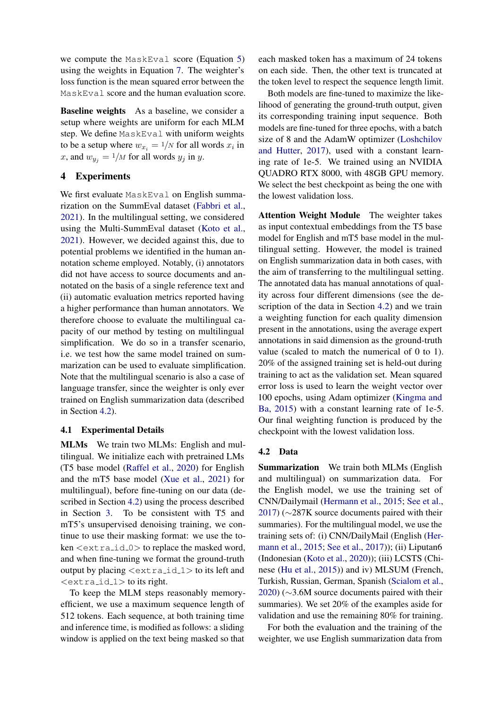we compute the MaskEval score (Equation [5\)](#page-4-4) using the weights in Equation [7.](#page-4-5) The weighter's loss function is the mean squared error between the MaskEval score and the human evaluation score.

Baseline weights As a baseline, we consider a setup where weights are uniform for each MLM step. We define MaskEval with uniform weights to be a setup where  $w_{x_i} = \frac{1}{N}$  for all words  $x_i$  in x, and  $w_{y_i} = \frac{1}{M}$  for all words  $y_i$  in y.

# 4 Experiments

We first evaluate MaskEval on English summarization on the SummEval dataset [\(Fabbri et al.,](#page-10-11) [2021\)](#page-10-11). In the multilingual setting, we considered using the Multi-SummEval dataset [\(Koto et al.,](#page-10-12) [2021\)](#page-10-12). However, we decided against this, due to potential problems we identified in the human annotation scheme employed. Notably, (i) annotators did not have access to source documents and annotated on the basis of a single reference text and (ii) automatic evaluation metrics reported having a higher performance than human annotators. We therefore choose to evaluate the multilingual capacity of our method by testing on multilingual simplification. We do so in a transfer scenario, i.e. we test how the same model trained on summarization can be used to evaluate simplification. Note that the multilingual scenario is also a case of language transfer, since the weighter is only ever trained on English summarization data (described in Section [4.2\)](#page-5-0).

#### 4.1 Experimental Details

MLMs We train two MLMs: English and multilingual. We initialize each with pretrained LMs (T5 base model [\(Raffel et al.,](#page-11-14) [2020\)](#page-11-14) for English and the mT5 base model [\(Xue et al.,](#page-12-4) [2021\)](#page-12-4) for multilingual), before fine-tuning on our data (described in Section [4.2\)](#page-5-0) using the process described in Section [3.](#page-3-0) To be consistent with T5 and mT5's unsupervised denoising training, we continue to use their masking format: we use the token <extra id 0> to replace the masked word, and when fine-tuning we format the ground-truth output by placing  $\langle$ extra\_id\_1 $>$  to its left and  $\langle$ extra\_id\_1 $>$  to its right.

To keep the MLM steps reasonably memoryefficient, we use a maximum sequence length of 512 tokens. Each sequence, at both training time and inference time, is modified as follows: a sliding window is applied on the text being masked so that each masked token has a maximum of 24 tokens on each side. Then, the other text is truncated at the token level to respect the sequence length limit.

Both models are fine-tuned to maximize the likelihood of generating the ground-truth output, given its corresponding training input sequence. Both models are fine-tuned for three epochs, with a batch size of 8 and the AdamW optimizer [\(Loshchilov](#page-11-15) [and Hutter,](#page-11-15) [2017\)](#page-11-15), used with a constant learning rate of 1e-5. We trained using an NVIDIA QUADRO RTX 8000, with 48GB GPU memory. We select the best checkpoint as being the one with the lowest validation loss.

<span id="page-5-1"></span>Attention Weight Module The weighter takes as input contextual embeddings from the T5 base model for English and mT5 base model in the multilingual setting. However, the model is trained on English summarization data in both cases, with the aim of transferring to the multilingual setting. The annotated data has manual annotations of quality across four different dimensions (see the description of the data in Section [4.2\)](#page-5-0) and we train a weighting function for each quality dimension present in the annotations, using the average expert annotations in said dimension as the ground-truth value (scaled to match the numerical of 0 to 1). 20% of the assigned training set is held-out during training to act as the validation set. Mean squared error loss is used to learn the weight vector over 100 epochs, using Adam optimizer [\(Kingma and](#page-10-13) [Ba,](#page-10-13) [2015\)](#page-10-13) with a constant learning rate of 1e-5. Our final weighting function is produced by the checkpoint with the lowest validation loss.

#### <span id="page-5-0"></span>4.2 Data

Summarization We train both MLMs (English and multilingual) on summarization data. For the English model, we use the training set of CNN/Dailymail [\(Hermann et al.,](#page-10-14) [2015;](#page-10-14) [See et al.,](#page-11-16) [2017\)](#page-11-16) (∼287K source documents paired with their summaries). For the multilingual model, we use the training sets of: (i) CNN/DailyMail (English [\(Her](#page-10-14)[mann et al.,](#page-10-14) [2015;](#page-10-14) [See et al.,](#page-11-16) [2017\)](#page-11-16)); (ii) Liputan6 (Indonesian [\(Koto et al.,](#page-10-15) [2020\)](#page-10-15)); (iii) LCSTS (Chinese [\(Hu et al.,](#page-10-16) [2015\)](#page-10-16)) and iv) MLSUM (French, Turkish, Russian, German, Spanish [\(Scialom et al.,](#page-11-17) [2020\)](#page-11-17) (∼3.6M source documents paired with their summaries). We set 20% of the examples aside for validation and use the remaining 80% for training.

For both the evaluation and the training of the weighter, we use English summarization data from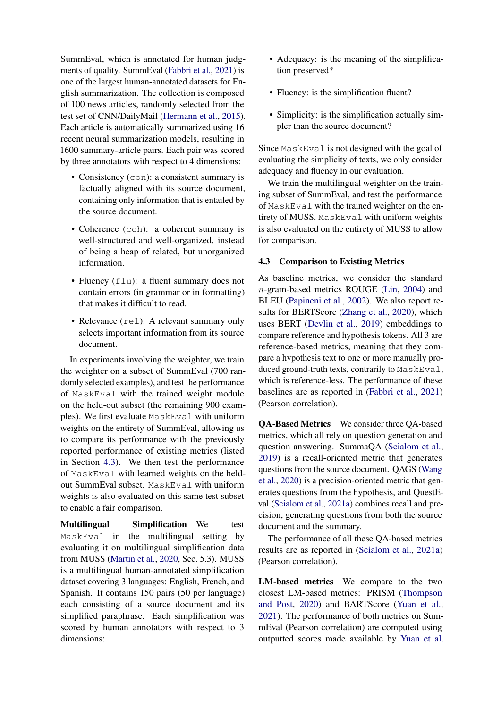SummEval, which is annotated for human judgments of quality. SummEval [\(Fabbri et al.,](#page-10-11) [2021\)](#page-10-11) is one of the largest human-annotated datasets for English summarization. The collection is composed of 100 news articles, randomly selected from the test set of CNN/DailyMail [\(Hermann et al.,](#page-10-14) [2015\)](#page-10-14). Each article is automatically summarized using 16 recent neural summarization models, resulting in 1600 summary-article pairs. Each pair was scored by three annotators with respect to 4 dimensions:

- Consistency (con): a consistent summary is factually aligned with its source document, containing only information that is entailed by the source document.
- Coherence (coh): a coherent summary is well-structured and well-organized, instead of being a heap of related, but unorganized information.
- Fluency (flu): a fluent summary does not contain errors (in grammar or in formatting) that makes it difficult to read.
- Relevance (rel): A relevant summary only selects important information from its source document.

In experiments involving the weighter, we train the weighter on a subset of SummEval (700 randomly selected examples), and test the performance of MaskEval with the trained weight module on the held-out subset (the remaining 900 examples). We first evaluate MaskEval with uniform weights on the entirety of SummEval, allowing us to compare its performance with the previously reported performance of existing metrics (listed in Section [4.3\)](#page-6-0). We then test the performance of MaskEval with learned weights on the heldout SummEval subset. MaskEval with uniform weights is also evaluated on this same test subset to enable a fair comparison.

Multilingual Simplification We test MaskEval in the multilingual setting by evaluating it on multilingual simplification data from MUSS [\(Martin et al.,](#page-11-18) [2020,](#page-11-18) Sec. 5.3). MUSS is a multilingual human-annotated simplification dataset covering 3 languages: English, French, and Spanish. It contains 150 pairs (50 per language) each consisting of a source document and its simplified paraphrase. Each simplification was scored by human annotators with respect to 3 dimensions:

- Adequacy: is the meaning of the simplification preserved?
- Fluency: is the simplification fluent?
- Simplicity: is the simplification actually simpler than the source document?

Since MaskEval is not designed with the goal of evaluating the simplicity of texts, we only consider adequacy and fluency in our evaluation.

We train the multilingual weighter on the training subset of SummEval, and test the performance of MaskEval with the trained weighter on the entirety of MUSS. MaskEval with uniform weights is also evaluated on the entirety of MUSS to allow for comparison.

#### <span id="page-6-0"></span>4.3 Comparison to Existing Metrics

As baseline metrics, we consider the standard n-gram-based metrics ROUGE [\(Lin,](#page-11-1) [2004\)](#page-11-1) and BLEU [\(Papineni et al.,](#page-11-2) [2002\)](#page-11-2). We also report results for BERTScore [\(Zhang et al.,](#page-12-1) [2020\)](#page-12-1), which uses BERT [\(Devlin et al.,](#page-10-3) [2019\)](#page-10-3) embeddings to compare reference and hypothesis tokens. All 3 are reference-based metrics, meaning that they compare a hypothesis text to one or more manually produced ground-truth texts, contrarily to MaskEval, which is reference-less. The performance of these baselines are as reported in [\(Fabbri et al.,](#page-10-11) [2021\)](#page-10-11) (Pearson correlation).

QA-Based Metrics We consider three QA-based metrics, which all rely on question generation and question answering. SummaQA [\(Scialom et al.,](#page-11-11) [2019\)](#page-11-11) is a recall-oriented metric that generates questions from the source document. QAGS [\(Wang](#page-12-0) [et al.,](#page-12-0) [2020\)](#page-12-0) is a precision-oriented metric that generates questions from the hypothesis, and QuestEval [\(Scialom et al.,](#page-11-5) [2021a\)](#page-11-5) combines recall and precision, generating questions from both the source document and the summary.

The performance of all these QA-based metrics results are as reported in [\(Scialom et al.,](#page-11-5) [2021a\)](#page-11-5) (Pearson correlation).

LM-based metrics We compare to the two closest LM-based metrics: PRISM [\(Thompson](#page-11-9) [and Post,](#page-11-9) [2020\)](#page-11-9) and BARTScore [\(Yuan et al.,](#page-12-2) [2021\)](#page-12-2). The performance of both metrics on SummEval (Pearson correlation) are computed using outputted scores made available by [Yuan et al.](#page-12-2)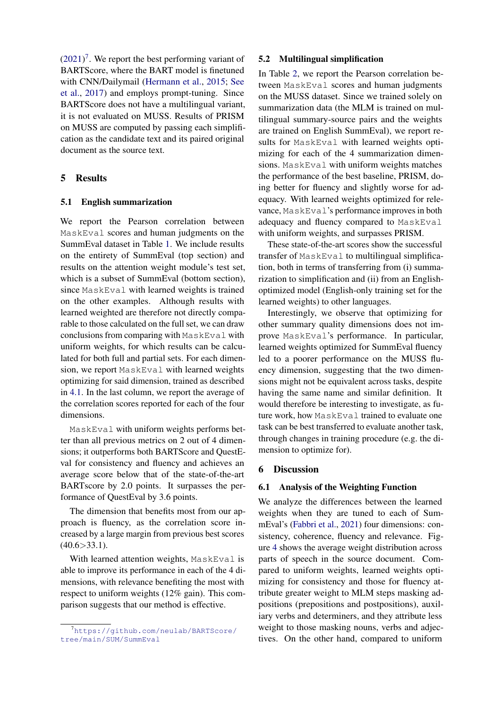$(2021)^7$  $(2021)^7$  $(2021)^7$ . We report the best performing variant of BARTScore, where the BART model is finetuned with CNN/Dailymail [\(Hermann et al.,](#page-10-14) [2015;](#page-10-14) [See](#page-11-16) [et al.,](#page-11-16) [2017\)](#page-11-16) and employs prompt-tuning. Since BARTScore does not have a multilingual variant, it is not evaluated on MUSS. Results of PRISM on MUSS are computed by passing each simplification as the candidate text and its paired original document as the source text.

# 5 Results

### 5.1 English summarization

We report the Pearson correlation between MaskEval scores and human judgments on the SummEval dataset in Table [1.](#page-8-0) We include results on the entirety of SummEval (top section) and results on the attention weight module's test set, which is a subset of SummEval (bottom section), since MaskEval with learned weights is trained on the other examples. Although results with learned weighted are therefore not directly comparable to those calculated on the full set, we can draw conclusions from comparing with MaskEval with uniform weights, for which results can be calculated for both full and partial sets. For each dimension, we report MaskEval with learned weights optimizing for said dimension, trained as described in [4.1.](#page-5-1) In the last column, we report the average of the correlation scores reported for each of the four dimensions.

MaskEval with uniform weights performs better than all previous metrics on 2 out of 4 dimensions; it outperforms both BARTScore and QuestEval for consistency and fluency and achieves an average score below that of the state-of-the-art BARTscore by 2.0 points. It surpasses the performance of QuestEval by 3.6 points.

The dimension that benefits most from our approach is fluency, as the correlation score increased by a large margin from previous best scores  $(40.6 > 33.1).$ 

With learned attention weights, MaskEval is able to improve its performance in each of the 4 dimensions, with relevance benefiting the most with respect to uniform weights (12% gain). This comparison suggests that our method is effective.

#### 5.2 Multilingual simplification

In Table [2,](#page-9-1) we report the Pearson correlation between MaskEval scores and human judgments on the MUSS dataset. Since we trained solely on summarization data (the MLM is trained on multilingual summary-source pairs and the weights are trained on English SummEval), we report results for MaskEval with learned weights optimizing for each of the 4 summarization dimensions. MaskEval with uniform weights matches the performance of the best baseline, PRISM, doing better for fluency and slightly worse for adequacy. With learned weights optimized for relevance, MaskEval's performance improves in both adequacy and fluency compared to MaskEval with uniform weights, and surpasses PRISM.

These state-of-the-art scores show the successful transfer of MaskEval to multilingual simplification, both in terms of transferring from (i) summarization to simplification and (ii) from an Englishoptimized model (English-only training set for the learned weights) to other languages.

Interestingly, we observe that optimizing for other summary quality dimensions does not improve MaskEval's performance. In particular, learned weights optimized for SummEval fluency led to a poorer performance on the MUSS fluency dimension, suggesting that the two dimensions might not be equivalent across tasks, despite having the same name and similar definition. It would therefore be interesting to investigate, as future work, how MaskEval trained to evaluate one task can be best transferred to evaluate another task, through changes in training procedure (e.g. the dimension to optimize for).

# 6 Discussion

# 6.1 Analysis of the Weighting Function

We analyze the differences between the learned weights when they are tuned to each of SummEval's [\(Fabbri et al.,](#page-10-11) [2021\)](#page-10-11) four dimensions: consistency, coherence, fluency and relevance. Figure [4](#page-8-1) shows the average weight distribution across parts of speech in the source document. Compared to uniform weights, learned weights optimizing for consistency and those for fluency attribute greater weight to MLM steps masking adpositions (prepositions and postpositions), auxiliary verbs and determiners, and they attribute less weight to those masking nouns, verbs and adjectives. On the other hand, compared to uniform

<span id="page-7-0"></span><sup>7</sup>https://qithub.com/neulab/BARTScore/ [tree/main/SUM/SummEval](https://github.com/neulab/BARTScore/tree/main/SUM/SummEval)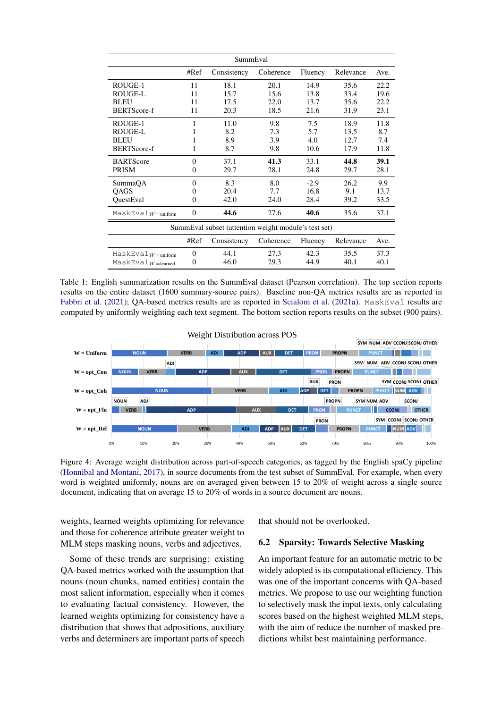<span id="page-8-0"></span>

|                                                      |                  | SummEval    |           |         |           |      |  |  |  |
|------------------------------------------------------|------------------|-------------|-----------|---------|-----------|------|--|--|--|
|                                                      | #Ref             | Consistency | Coherence | Fluency | Relevance | Ave. |  |  |  |
| ROUGE-1                                              | 11               | 18.1        | 20.1      | 14.9    | 35.6      | 22.2 |  |  |  |
| <b>ROUGE-L</b>                                       | 11               | 15.7        | 15.6      | 13.8    | 33.4      | 19.6 |  |  |  |
| <b>BLEU</b>                                          | 11               | 17.5        | 22.0      | 13.7    | 35.6      | 22.2 |  |  |  |
| <b>BERTScore-f</b>                                   | 11               | 20.3        | 18.5      | 21.6    | 31.9      | 23.1 |  |  |  |
| ROUGE-1                                              | 1                | 11.0        | 9.8       | 7.5     | 18.9      | 11.8 |  |  |  |
| <b>ROUGE-L</b>                                       | 1                | 8.2         | 7.3       | 5.7     | 13.5      | 8.7  |  |  |  |
| <b>BLEU</b>                                          | 1                | 8.9         | 3.9       | 4.0     | 12.7      | 7.4  |  |  |  |
| <b>BERTScore-f</b>                                   | 1                | 8.7         | 9.8       | 10.6    | 17.9      | 11.8 |  |  |  |
| <b>BARTScore</b>                                     | $\Omega$         | 37.1        | 41.3      | 33.1    | 44.8      | 39.1 |  |  |  |
| <b>PRISM</b>                                         | $\overline{0}$   | 29.7        | 28.1      | 24.8    | 29.7      | 28.1 |  |  |  |
| SummaOA                                              | $\theta$         | 8.3         | 8.0       | $-2.9$  | 26.2      | 9.9  |  |  |  |
| QAGS                                                 | $\boldsymbol{0}$ | 20.4        | 7.7       | 16.8    | 9.1       | 13.7 |  |  |  |
| QuestEval                                            | $\theta$         | 42.0        | 24.0      | 28.4    | 39.2      | 33.5 |  |  |  |
| $MaskEvalW =$ uniform                                | $\overline{0}$   | 44.6        | 27.6      | 40.6    | 35.6      | 37.1 |  |  |  |
| SummEval subset (attention weight module's test set) |                  |             |           |         |           |      |  |  |  |
|                                                      | #Ref             | Consistency | Coherence | Fluency | Relevance | Ave. |  |  |  |
| $MaskEvalW =$ uniform                                | $\mathbf{0}$     | 44.1        | 27.3      | 42.3    | 35.5      | 37.3 |  |  |  |
| $MaskEvalW=learned$                                  | $\theta$         | 46.0        | 29.3      | 44.9    | 40.1      | 40.1 |  |  |  |

Table 1: English summarization results on the SummEval dataset (Pearson correlation). The top section reports results on the entire dataset (1600 summary-source pairs). Baseline non-QA metrics results are as reported in [Fabbri et al.](#page-10-11) [\(2021\)](#page-10-11); QA-based metrics results are as reported in [Scialom et al.](#page-11-5) [\(2021a\)](#page-11-5). MaskEval results are computed by uniformly weighting each text segment. The bottom section reports results on the subset (900 pairs).

<span id="page-8-1"></span>

Figure 4: Average weight distribution across part-of-speech categories, as tagged by the English spaCy pipeline [\(Honnibal and Montani,](#page-10-9) [2017\)](#page-10-9), in source documents from the test subset of SummEval. For example, when every word is weighted uniformly, nouns are on averaged given between 15 to 20% of weight across a single source document, indicating that on average 15 to 20% of words in a source document are nouns.

weights, learned weights optimizing for relevance and those for coherence attribute greater weight to MLM steps masking nouns, verbs and adjectives.

Some of these trends are surprising: existing QA-based metrics worked with the assumption that nouns (noun chunks, named entities) contain the most salient information, especially when it comes to evaluating factual consistency. However, the learned weights optimizing for consistency have a distribution that shows that adpositions, auxiliary verbs and determiners are important parts of speech that should not be overlooked.

#### 6.2 Sparsity: Towards Selective Masking

An important feature for an automatic metric to be widely adopted is its computational efficiency. This was one of the important concerns with QA-based metrics. We propose to use our weighting function to selectively mask the input texts, only calculating scores based on the highest weighted MLM steps, with the aim of reduce the number of masked predictions whilst best maintaining performance.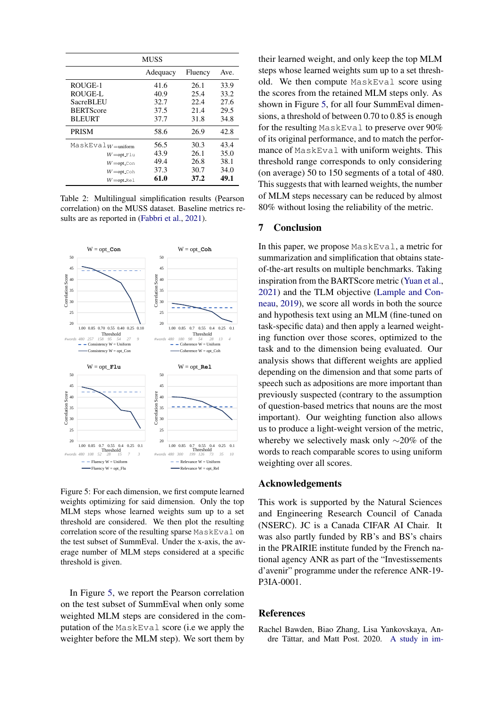<span id="page-9-1"></span>

|                       | <b>MUSS</b> |         |      |
|-----------------------|-------------|---------|------|
|                       | Adequacy    | Fluency | Ave. |
| ROUGE-1               | 41.6        | 26.1    | 33.9 |
| ROUGE-L               | 40.9        | 25.4    | 33.2 |
| <b>SacreBLEU</b>      | 32.7        | 22.4    | 27.6 |
| <b>BERTScore</b>      | 37.5        | 21.4    | 29.5 |
| <b>BLEURT</b>         | 37.7        | 31.8    | 34.8 |
| <b>PRISM</b>          | 58.6        | 26.9    | 42.8 |
| $MaskEvalW =$ uniform | 56.5        | 30.3    | 43.4 |
| $W = opt\_Flu$        | 43.9        | 26.1    | 35.0 |
| $W = opt\_{con}$      | 49.4        | 26.8    | 38.1 |
| $W = opt\_Coh$        | 37.3        | 30.7    | 34.0 |
| $W=$ opt_Rel          | 61.0        | 37.2    | 49.1 |

Table 2: Multilingual simplification results (Pearson correlation) on the MUSS dataset. Baseline metrics results are as reported in [\(Fabbri et al.,](#page-10-11) [2021\)](#page-10-11).

<span id="page-9-2"></span>

Figure 5: For each dimension, we first compute learned weights optimizing for said dimension. Only the top MLM steps whose learned weights sum up to a set threshold are considered. We then plot the resulting correlation score of the resulting sparse MaskEval on the test subset of SummEval. Under the x-axis, the average number of MLM steps considered at a specific threshold is given.

In Figure [5,](#page-9-2) we report the Pearson correlation on the test subset of SummEval when only some weighted MLM steps are considered in the computation of the MaskEval score (i.e we apply the weighter before the MLM step). We sort them by

their learned weight, and only keep the top MLM steps whose learned weights sum up to a set threshold. We then compute MaskEval score using the scores from the retained MLM steps only. As shown in Figure [5,](#page-9-2) for all four SummEval dimensions, a threshold of between 0.70 to 0.85 is enough for the resulting MaskEval to preserve over 90% of its original performance, and to match the performance of MaskEval with uniform weights. This threshold range corresponds to only considering (on average) 50 to 150 segments of a total of 480. This suggests that with learned weights, the number of MLM steps necessary can be reduced by almost 80% without losing the reliability of the metric.

#### 7 Conclusion

In this paper, we propose MaskEval, a metric for summarization and simplification that obtains stateof-the-art results on multiple benchmarks. Taking inspiration from the BARTScore metric [\(Yuan et al.,](#page-12-2) [2021\)](#page-12-2) and the TLM objective [\(Lample and Con](#page-10-5)[neau,](#page-10-5) [2019\)](#page-10-5), we score all words in both the source and hypothesis text using an MLM (fine-tuned on task-specific data) and then apply a learned weighting function over those scores, optimized to the task and to the dimension being evaluated. Our analysis shows that different weights are applied depending on the dimension and that some parts of speech such as adpositions are more important than previously suspected (contrary to the assumption of question-based metrics that nouns are the most important). Our weighting function also allows us to produce a light-weight version of the metric, whereby we selectively mask only ∼20% of the words to reach comparable scores to using uniform weighting over all scores.

# Acknowledgements

This work is supported by the Natural Sciences and Engineering Research Council of Canada (NSERC). JC is a Canada CIFAR AI Chair. It was also partly funded by RB's and BS's chairs in the PRAIRIE institute funded by the French national agency ANR as part of the "Investissements d'avenir" programme under the reference ANR-19- P3IA-0001.

#### **References**

<span id="page-9-0"></span>Rachel Bawden, Biao Zhang, Lisa Yankovskaya, An-dre Tättar, and Matt Post. 2020. [A study in im-](https://doi.org/10.18653/v1/2020.findings-emnlp.82)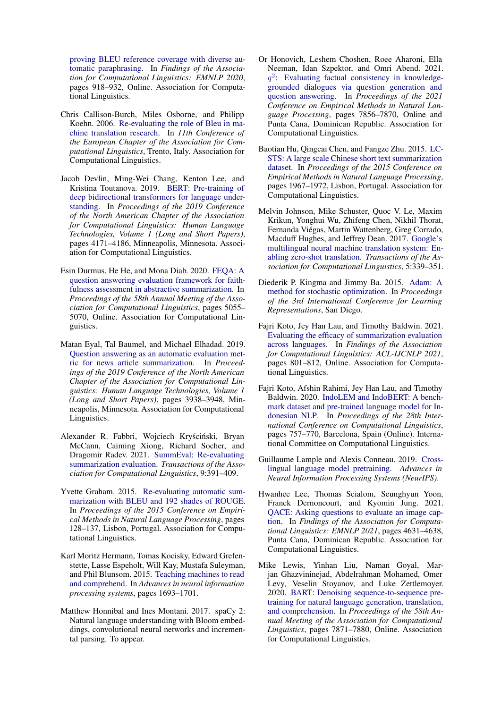[proving BLEU reference coverage with diverse au](https://doi.org/10.18653/v1/2020.findings-emnlp.82)[tomatic paraphrasing.](https://doi.org/10.18653/v1/2020.findings-emnlp.82) In *Findings of the Association for Computational Linguistics: EMNLP 2020*, pages 918–932, Online. Association for Computational Linguistics.

- <span id="page-10-0"></span>Chris Callison-Burch, Miles Osborne, and Philipp Koehn. 2006. [Re-evaluating the role of Bleu in ma](https://www.aclweb.org/anthology/E06-1032)[chine translation research.](https://www.aclweb.org/anthology/E06-1032) In *11th Conference of the European Chapter of the Association for Computational Linguistics*, Trento, Italy. Association for Computational Linguistics.
- <span id="page-10-3"></span>Jacob Devlin, Ming-Wei Chang, Kenton Lee, and Kristina Toutanova. 2019. [BERT: Pre-training of](https://doi.org/10.18653/v1/N19-1423) [deep bidirectional transformers for language under](https://doi.org/10.18653/v1/N19-1423)[standing.](https://doi.org/10.18653/v1/N19-1423) In *Proceedings of the 2019 Conference of the North American Chapter of the Association for Computational Linguistics: Human Language Technologies, Volume 1 (Long and Short Papers)*, pages 4171–4186, Minneapolis, Minnesota. Association for Computational Linguistics.
- <span id="page-10-2"></span>Esin Durmus, He He, and Mona Diab. 2020. [FEQA: A](https://doi.org/10.18653/v1/2020.acl-main.454) [question answering evaluation framework for faith](https://doi.org/10.18653/v1/2020.acl-main.454)[fulness assessment in abstractive summarization.](https://doi.org/10.18653/v1/2020.acl-main.454) In *Proceedings of the 58th Annual Meeting of the Association for Computational Linguistics*, pages 5055– 5070, Online. Association for Computational Linguistics.
- <span id="page-10-6"></span>Matan Eyal, Tal Baumel, and Michael Elhadad. 2019. [Question answering as an automatic evaluation met](https://doi.org/10.18653/v1/N19-1395)[ric for news article summarization.](https://doi.org/10.18653/v1/N19-1395) In *Proceedings of the 2019 Conference of the North American Chapter of the Association for Computational Linguistics: Human Language Technologies, Volume 1 (Long and Short Papers)*, pages 3938–3948, Minneapolis, Minnesota. Association for Computational Linguistics.
- <span id="page-10-11"></span>Alexander R. Fabbri, Wojciech Kryściński, Bryan McCann, Caiming Xiong, Richard Socher, and Dragomir Radev. 2021. [SummEval: Re-evaluating](https://doi.org/10.1162/tacl_a_00373) [summarization evaluation.](https://doi.org/10.1162/tacl_a_00373) *Transactions of the Association for Computational Linguistics*, 9:391–409.
- <span id="page-10-1"></span>Yvette Graham. 2015. [Re-evaluating automatic sum](https://doi.org/10.18653/v1/D15-1013)[marization with BLEU and 192 shades of ROUGE.](https://doi.org/10.18653/v1/D15-1013) In *Proceedings of the 2015 Conference on Empirical Methods in Natural Language Processing*, pages 128–137, Lisbon, Portugal. Association for Computational Linguistics.
- <span id="page-10-14"></span>Karl Moritz Hermann, Tomas Kocisky, Edward Grefenstette, Lasse Espeholt, Will Kay, Mustafa Suleyman, and Phil Blunsom. 2015. [Teaching machines to read](http://papers.nips.cc/paper/5945-teaching-machines-to-read-and-comprehend) [and comprehend.](http://papers.nips.cc/paper/5945-teaching-machines-to-read-and-comprehend) In *Advances in neural information processing systems*, pages 1693–1701.
- <span id="page-10-9"></span>Matthew Honnibal and Ines Montani. 2017. spaCy 2: Natural language understanding with Bloom embeddings, convolutional neural networks and incremental parsing. To appear.
- <span id="page-10-8"></span>Or Honovich, Leshem Choshen, Roee Aharoni, Ella Neeman, Idan Szpektor, and Omri Abend. 2021. q 2 [: Evaluating factual consistency in knowledge](https://doi.org/10.18653/v1/2021.emnlp-main.619)[grounded dialogues via question generation and](https://doi.org/10.18653/v1/2021.emnlp-main.619) [question answering.](https://doi.org/10.18653/v1/2021.emnlp-main.619) In *Proceedings of the 2021 Conference on Empirical Methods in Natural Language Processing*, pages 7856–7870, Online and Punta Cana, Dominican Republic. Association for Computational Linguistics.
- <span id="page-10-16"></span>Baotian Hu, Qingcai Chen, and Fangze Zhu. 2015. [LC-](https://doi.org/10.18653/v1/D15-1229)[STS: A large scale Chinese short text summarization](https://doi.org/10.18653/v1/D15-1229) [dataset.](https://doi.org/10.18653/v1/D15-1229) In *Proceedings of the 2015 Conference on Empirical Methods in Natural Language Processing*, pages 1967–1972, Lisbon, Portugal. Association for Computational Linguistics.
- <span id="page-10-10"></span>Melvin Johnson, Mike Schuster, Quoc V. Le, Maxim Krikun, Yonghui Wu, Zhifeng Chen, Nikhil Thorat, Fernanda Viegas, Martin Wattenberg, Greg Corrado, ´ Macduff Hughes, and Jeffrey Dean. 2017. [Google's](https://doi.org/10.1162/tacl_a_00065) [multilingual neural machine translation system: En](https://doi.org/10.1162/tacl_a_00065)[abling zero-shot translation.](https://doi.org/10.1162/tacl_a_00065) *Transactions of the Association for Computational Linguistics*, 5:339–351.
- <span id="page-10-13"></span>Diederik P. Kingma and Jimmy Ba. 2015. [Adam: A](http://arxiv.org/abs/1412.6980) [method for stochastic optimization.](http://arxiv.org/abs/1412.6980) In *Proceedings of the 3rd International Conference for Learning Representations*, San Diego.
- <span id="page-10-12"></span>Fajri Koto, Jey Han Lau, and Timothy Baldwin. 2021. [Evaluating the efficacy of summarization evaluation](https://doi.org/10.18653/v1/2021.findings-acl.71) [across languages.](https://doi.org/10.18653/v1/2021.findings-acl.71) In *Findings of the Association for Computational Linguistics: ACL-IJCNLP 2021*, pages 801–812, Online. Association for Computational Linguistics.
- <span id="page-10-15"></span>Fajri Koto, Afshin Rahimi, Jey Han Lau, and Timothy Baldwin. 2020. [IndoLEM and IndoBERT: A bench](https://www.aclweb.org/anthology/2020.coling-main.66)[mark dataset and pre-trained language model for In](https://www.aclweb.org/anthology/2020.coling-main.66)[donesian NLP.](https://www.aclweb.org/anthology/2020.coling-main.66) In *Proceedings of the 28th International Conference on Computational Linguistics*, pages 757–770, Barcelona, Spain (Online). International Committee on Computational Linguistics.
- <span id="page-10-5"></span>Guillaume Lample and Alexis Conneau. 2019. [Cross](http://arxiv.org/abs/1901.07291)[lingual language model pretraining.](http://arxiv.org/abs/1901.07291) *Advances in Neural Information Processing Systems (NeurIPS)*.
- <span id="page-10-7"></span>Hwanhee Lee, Thomas Scialom, Seunghyun Yoon, Franck Dernoncourt, and Kyomin Jung. 2021. [QACE: Asking questions to evaluate an image cap](https://doi.org/10.18653/v1/2021.findings-emnlp.395)[tion.](https://doi.org/10.18653/v1/2021.findings-emnlp.395) In *Findings of the Association for Computational Linguistics: EMNLP 2021*, pages 4631–4638, Punta Cana, Dominican Republic. Association for Computational Linguistics.
- <span id="page-10-4"></span>Mike Lewis, Yinhan Liu, Naman Goyal, Marjan Ghazvininejad, Abdelrahman Mohamed, Omer Levy, Veselin Stoyanov, and Luke Zettlemoyer. 2020. [BART: Denoising sequence-to-sequence pre](https://doi.org/10.18653/v1/2020.acl-main.703)[training for natural language generation, translation,](https://doi.org/10.18653/v1/2020.acl-main.703) [and comprehension.](https://doi.org/10.18653/v1/2020.acl-main.703) In *Proceedings of the 58th Annual Meeting of the Association for Computational Linguistics*, pages 7871–7880, Online. Association for Computational Linguistics.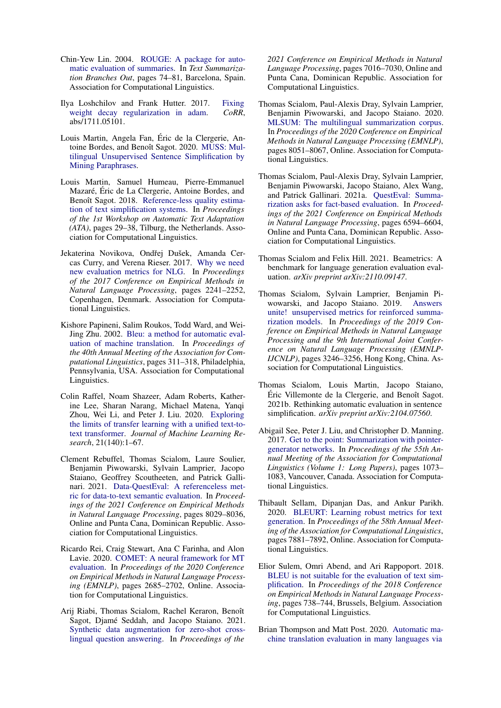- <span id="page-11-1"></span>Chin-Yew Lin. 2004. [ROUGE: A package for auto](https://www.aclweb.org/anthology/W04-1013)[matic evaluation of summaries.](https://www.aclweb.org/anthology/W04-1013) In *Text Summarization Branches Out*, pages 74–81, Barcelona, Spain. Association for Computational Linguistics.
- <span id="page-11-15"></span>Ilya Loshchilov and Frank Hutter. 2017. [Fixing](http://arxiv.org/abs/1711.05101) [weight decay regularization in adam.](http://arxiv.org/abs/1711.05101) *CoRR*, abs/1711.05101.
- <span id="page-11-18"></span>Louis Martin, Angela Fan, Eric de la Clergerie, An- ´ toine Bordes, and Benoît Sagot. 2020. [MUSS: Mul](https://doi.org/10.48550/ARXIV.2005.00352)[tilingual Unsupervised Sentence Simplification by](https://doi.org/10.48550/ARXIV.2005.00352) [Mining Paraphrases.](https://doi.org/10.48550/ARXIV.2005.00352)
- <span id="page-11-0"></span>Louis Martin, Samuel Humeau, Pierre-Emmanuel Mazaré, Éric de La Clergerie, Antoine Bordes, and Benoît Sagot. 2018. [Reference-less quality estima](https://doi.org/10.18653/v1/W18-7005)[tion of text simplification systems.](https://doi.org/10.18653/v1/W18-7005) In *Proceedings of the 1st Workshop on Automatic Text Adaptation (ATA)*, pages 29–38, Tilburg, the Netherlands. Association for Computational Linguistics.
- <span id="page-11-3"></span>Jekaterina Novikova, Ondřej Dušek, Amanda Cercas Curry, and Verena Rieser. 2017. [Why we need](https://doi.org/10.18653/v1/D17-1238) [new evaluation metrics for NLG.](https://doi.org/10.18653/v1/D17-1238) In *Proceedings of the 2017 Conference on Empirical Methods in Natural Language Processing*, pages 2241–2252, Copenhagen, Denmark. Association for Computational Linguistics.
- <span id="page-11-2"></span>Kishore Papineni, Salim Roukos, Todd Ward, and Wei-Jing Zhu. 2002. [Bleu: a method for automatic eval](https://doi.org/10.3115/1073083.1073135)[uation of machine translation.](https://doi.org/10.3115/1073083.1073135) In *Proceedings of the 40th Annual Meeting of the Association for Computational Linguistics*, pages 311–318, Philadelphia, Pennsylvania, USA. Association for Computational Linguistics.
- <span id="page-11-14"></span>Colin Raffel, Noam Shazeer, Adam Roberts, Katherine Lee, Sharan Narang, Michael Matena, Yanqi Zhou, Wei Li, and Peter J. Liu. 2020. [Exploring](http://jmlr.org/papers/v21/20-074.html) [the limits of transfer learning with a unified text-to](http://jmlr.org/papers/v21/20-074.html)[text transformer.](http://jmlr.org/papers/v21/20-074.html) *Journal of Machine Learning Research*, 21(140):1–67.
- <span id="page-11-13"></span>Clement Rebuffel, Thomas Scialom, Laure Soulier, Benjamin Piwowarski, Sylvain Lamprier, Jacopo Staiano, Geoffrey Scoutheeten, and Patrick Gallinari. 2021. [Data-QuestEval: A referenceless met](https://doi.org/10.18653/v1/2021.emnlp-main.633)[ric for data-to-text semantic evaluation.](https://doi.org/10.18653/v1/2021.emnlp-main.633) In *Proceedings of the 2021 Conference on Empirical Methods in Natural Language Processing*, pages 8029–8036, Online and Punta Cana, Dominican Republic. Association for Computational Linguistics.
- <span id="page-11-8"></span>Ricardo Rei, Craig Stewart, Ana C Farinha, and Alon Lavie. 2020. [COMET: A neural framework for MT](https://doi.org/10.18653/v1/2020.emnlp-main.213) [evaluation.](https://doi.org/10.18653/v1/2020.emnlp-main.213) In *Proceedings of the 2020 Conference on Empirical Methods in Natural Language Processing (EMNLP)*, pages 2685–2702, Online. Association for Computational Linguistics.
- <span id="page-11-6"></span>Arij Riabi, Thomas Scialom, Rachel Keraron, Benoît Sagot, Djamé Seddah, and Jacopo Staiano. 2021. [Synthetic data augmentation for zero-shot cross](https://doi.org/10.18653/v1/2021.emnlp-main.562)[lingual question answering.](https://doi.org/10.18653/v1/2021.emnlp-main.562) In *Proceedings of the*

*2021 Conference on Empirical Methods in Natural Language Processing*, pages 7016–7030, Online and Punta Cana, Dominican Republic. Association for Computational Linguistics.

- <span id="page-11-17"></span>Thomas Scialom, Paul-Alexis Dray, Sylvain Lamprier, Benjamin Piwowarski, and Jacopo Staiano. 2020. [MLSUM: The multilingual summarization corpus.](https://doi.org/10.18653/v1/2020.emnlp-main.647) In *Proceedings of the 2020 Conference on Empirical Methods in Natural Language Processing (EMNLP)*, pages 8051–8067, Online. Association for Computational Linguistics.
- <span id="page-11-5"></span>Thomas Scialom, Paul-Alexis Dray, Sylvain Lamprier, Benjamin Piwowarski, Jacopo Staiano, Alex Wang, and Patrick Gallinari. 2021a. [QuestEval: Summa](https://doi.org/10.18653/v1/2021.emnlp-main.529)[rization asks for fact-based evaluation.](https://doi.org/10.18653/v1/2021.emnlp-main.529) In *Proceedings of the 2021 Conference on Empirical Methods in Natural Language Processing*, pages 6594–6604, Online and Punta Cana, Dominican Republic. Association for Computational Linguistics.
- <span id="page-11-10"></span>Thomas Scialom and Felix Hill. 2021. Beametrics: A benchmark for language generation evaluation evaluation. *arXiv preprint arXiv:2110.09147*.
- <span id="page-11-11"></span>Thomas Scialom, Sylvain Lamprier, Benjamin Piwowarski, and Jacopo Staiano. 2019. [Answers](https://doi.org/10.18653/v1/D19-1320) [unite! unsupervised metrics for reinforced summa](https://doi.org/10.18653/v1/D19-1320)[rization models.](https://doi.org/10.18653/v1/D19-1320) In *Proceedings of the 2019 Conference on Empirical Methods in Natural Language Processing and the 9th International Joint Conference on Natural Language Processing (EMNLP-IJCNLP)*, pages 3246–3256, Hong Kong, China. Association for Computational Linguistics.
- <span id="page-11-12"></span>Thomas Scialom, Louis Martin, Jacopo Staiano, Éric Villemonte de la Clergerie, and Benoît Sagot. 2021b. Rethinking automatic evaluation in sentence simplification. *arXiv preprint arXiv:2104.07560*.
- <span id="page-11-16"></span>Abigail See, Peter J. Liu, and Christopher D. Manning. 2017. [Get to the point: Summarization with pointer](https://doi.org/10.18653/v1/P17-1099)[generator networks.](https://doi.org/10.18653/v1/P17-1099) In *Proceedings of the 55th Annual Meeting of the Association for Computational Linguistics (Volume 1: Long Papers)*, pages 1073– 1083, Vancouver, Canada. Association for Computational Linguistics.
- <span id="page-11-7"></span>Thibault Sellam, Dipanjan Das, and Ankur Parikh. 2020. [BLEURT: Learning robust metrics for text](https://doi.org/10.18653/v1/2020.acl-main.704) [generation.](https://doi.org/10.18653/v1/2020.acl-main.704) In *Proceedings of the 58th Annual Meeting of the Association for Computational Linguistics*, pages 7881–7892, Online. Association for Computational Linguistics.
- <span id="page-11-4"></span>Elior Sulem, Omri Abend, and Ari Rappoport. 2018. [BLEU is not suitable for the evaluation of text sim](https://doi.org/10.18653/v1/D18-1081)[plification.](https://doi.org/10.18653/v1/D18-1081) In *Proceedings of the 2018 Conference on Empirical Methods in Natural Language Processing*, pages 738–744, Brussels, Belgium. Association for Computational Linguistics.
- <span id="page-11-9"></span>Brian Thompson and Matt Post. 2020. [Automatic ma](https://doi.org/10.18653/v1/2020.emnlp-main.8)[chine translation evaluation in many languages via](https://doi.org/10.18653/v1/2020.emnlp-main.8)